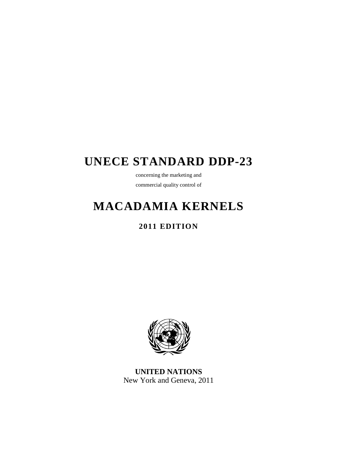# **UNECE STANDARD DDP-23**

concerning the marketing and commercial quality control of

# **MACADAMIA KERNELS**

## **2011 EDITION**



**UNITED NATIONS**  New York and Geneva, 2011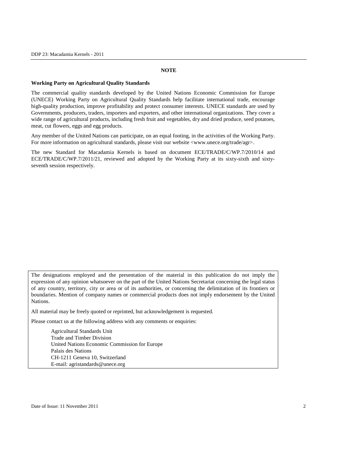#### **NOTE**

#### **Working Party on Agricultural Quality Standards**

The commercial quality standards developed by the United Nations Economic Commission for Europe (UNECE) Working Party on Agricultural Quality Standards help facilitate international trade, encourage high-quality production, improve profitability and protect consumer interests. UNECE standards are used by Governments, producers, traders, importers and exporters, and other international organizations. They cover a wide range of agricultural products, including fresh fruit and vegetables, dry and dried produce, seed potatoes, meat, cut flowers, eggs and egg products.

Any member of the United Nations can participate, on an equal footing, in the activities of the Working Party. For more information on agricultural standards, please visit our website <www.unece.org/trade/agr>.

The new Standard for Macadamia Kernels is based on document ECE/TRADE/C/WP.7/2010/14 and ECE/TRADE/C/WP.7/2011/21, reviewed and adopted by the Working Party at its sixty-sixth and sixtyseventh session respectively.

The designations employed and the presentation of the material in this publication do not imply the expression of any opinion whatsoever on the part of the United Nations Secretariat concerning the legal status of any country, territory, city or area or of its authorities, or concerning the delimitation of its frontiers or boundaries. Mention of company names or commercial products does not imply endorsement by the United Nations.

All material may be freely quoted or reprinted, but acknowledgement is requested.

Please contact us at the following address with any comments or enquiries:

 Agricultural Standards Unit Trade and Timber Division United Nations Economic Commission for Europe Palais des Nations CH-1211 Geneva 10, Switzerland E-mail: agristandards@unece.org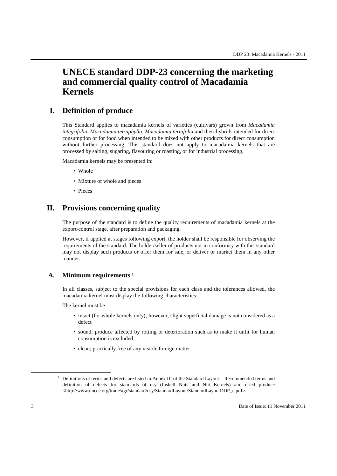## **UNECE standard DDP-23 concerning the marketing and commercial quality control of Macadamia Kernels**

## **I. Definition of produce**

This Standard applies to macadamia kernels of varieties (cultivars) grown from *Macadamia integrifolia, Macadamia tetraphylla, Macadamia ternifolia* and their hybrids intended for direct consumption or for food when intended to be mixed with other products for direct consumption without further processing. This standard does not apply to macadamia kernels that are processed by salting, sugaring, flavouring or roasting, or for industrial processing.

Macadamia kernels may be presented in:

- Whole
- Mixture of whole and pieces
- Pieces

## **II. Provisions concerning quality**

The purpose of the standard is to define the quality requirements of macadamia kernels at the export-control stage, after preparation and packaging.

However, if applied at stages following export, the holder shall be responsible for observing the requirements of the standard. The holder/seller of products not in conformity with this standard may not display such products or offer them for sale, or deliver or market them in any other manner.

#### **A. Minimum requirements <sup>1</sup>**

In all classes, subject to the special provisions for each class and the tolerances allowed, the macadamia kernel must display the following characteristics:

The kernel must be

- intact (for whole kernels only); however, slight superficial damage is not considered as a defect
- sound; produce affected by rotting or deterioration such as to make it unfit for human consumption is excluded
- clean; practically free of any visible foreign matter

-

<sup>&</sup>lt;sup>1</sup> Definitions of terms and defects are listed in Annex III of the Standard Layout – Recommended terms and definition of defects for standards of dry (Inshell Nuts and Nut Kernels) and dried produce <http://www.unece.org/trade/agr/standard/dry/StandardLayout/StandardLayoutDDP\_e.pdf>.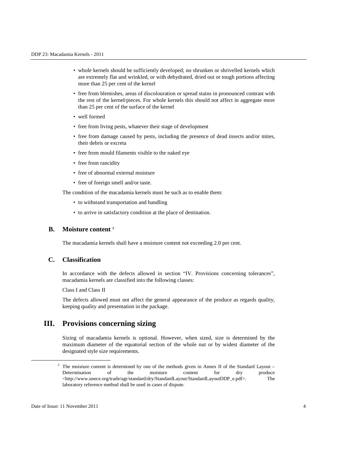- whole kernels should be sufficiently developed; no shrunken or shrivelled kernels which are extremely flat and wrinkled, or with dehydrated, dried out or tough portions affecting more than 25 per cent of the kernel
- free from blemishes, areas of discolouration or spread stains in pronounced contrast with the rest of the kernel/pieces. For whole kernels this should not affect in aggregate more than 25 per cent of the surface of the kernel
- well formed
- free from living pests, whatever their stage of development
- free from damage caused by pests, including the presence of dead insects and/or mites, their debris or excreta
- free from mould filaments visible to the naked eye
- free from rancidity
- free of abnormal external moisture
- free of foreign smell and/or taste.

The condition of the macadamia kernels must be such as to enable them:

- to withstand transportation and handling
- to arrive in satisfactory condition at the place of destination.

#### **B. Moisture content <sup>2</sup>**

The macadamia kernels shall have a moisture content not exceeding 2.0 per cent.

## **C. Classification**

In accordance with the defects allowed in section "IV. Provisions concerning tolerances", macadamia kernels are classified into the following classes:

Class I and Class II

The defects allowed must not affect the general appearance of the produce as regards quality, keeping quality and presentation in the package.

## **III. Provisions concerning sizing**

Sizing of macadamia kernels is optional. However, when sized, size is determined by the maximum diameter of the equatorial section of the whole nut or by widest diameter of the designated style size requirements.

-

 $2$  The moisture content is determined by one of the methods given in Annex II of the Standard Layout – Determination of the moisture content for dry produce <http://www.unece.org/trade/agr/standard/dry/StandardLayout/StandardLayoutDDP\_e.pdf>. The laboratory reference method shall be used in cases of dispute.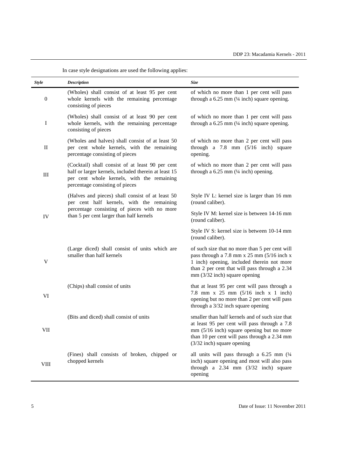| In ease style designations are ased the following applies. |                                                                                                                                                                                           |                                                                                                                                                                                                                                |  |
|------------------------------------------------------------|-------------------------------------------------------------------------------------------------------------------------------------------------------------------------------------------|--------------------------------------------------------------------------------------------------------------------------------------------------------------------------------------------------------------------------------|--|
| <b>Style</b>                                               | <b>Description</b>                                                                                                                                                                        | <b>Size</b>                                                                                                                                                                                                                    |  |
| $\boldsymbol{0}$                                           | (Wholes) shall consist of at least 95 per cent<br>whole kernels with the remaining percentage<br>consisting of pieces                                                                     | of which no more than 1 per cent will pass<br>through a $6.25$ mm $(½$ inch) square opening.                                                                                                                                   |  |
| I                                                          | (Wholes) shall consist of at least 90 per cent<br>whole kernels, with the remaining percentage<br>consisting of pieces                                                                    | of which no more than 1 per cent will pass<br>through a $6.25$ mm $(½$ inch) square opening.                                                                                                                                   |  |
| $\mathbf{I}$                                               | (Wholes and halves) shall consist of at least 50<br>per cent whole kernels, with the remaining<br>percentage consisting of pieces                                                         | of which no more than 2 per cent will pass<br>through a $7.8$ mm $(5/16$ inch) square<br>opening.                                                                                                                              |  |
| $\mathop{\rm III}\nolimits$                                | (Cocktail) shall consist of at least 90 per cent<br>half or larger kernels, included therein at least 15<br>per cent whole kernels, with the remaining<br>percentage consisting of pieces | of which no more than 2 per cent will pass<br>through a $6.25$ mm $(½$ inch) opening.                                                                                                                                          |  |
| IV                                                         | (Halves and pieces) shall consist of at least 50<br>per cent half kernels, with the remaining<br>percentage consisting of pieces with no more<br>than 5 per cent larger than half kernels | Style IV L: kernel size is larger than 16 mm<br>(round caliber).                                                                                                                                                               |  |
|                                                            |                                                                                                                                                                                           | Style IV M: kernel size is between 14-16 mm<br>(round caliber).                                                                                                                                                                |  |
|                                                            |                                                                                                                                                                                           | Style IV S: kernel size is between 10-14 mm<br>(round caliber).                                                                                                                                                                |  |
| $\mathbf V$                                                | (Large diced) shall consist of units which are<br>smaller than half kernels                                                                                                               | of such size that no more than 5 per cent will<br>pass through a 7.8 mm x 25 mm (5/16 inch x<br>1 inch) opening, included therein not more<br>than 2 per cent that will pass through a 2.34<br>$mm$ (3/32 inch) square opening |  |
| VI                                                         | (Chips) shall consist of units                                                                                                                                                            | that at least 95 per cent will pass through a<br>7.8 mm x 25 mm $(5/16$ inch x 1 inch)<br>opening but no more than 2 per cent will pass<br>through a 3/32 inch square opening                                                  |  |
| VII                                                        | (Bits and diced) shall consist of units                                                                                                                                                   | smaller than half kernels and of such size that<br>at least 95 per cent will pass through a 7.8<br>mm (5/16 inch) square opening but no more<br>than 10 per cent will pass through a 2.34 mm<br>$(3/32$ inch) square opening   |  |
| <b>VIII</b>                                                | (Fines) shall consists of broken, chipped or<br>chopped kernels                                                                                                                           | all units will pass through a $6.25$ mm $(1/4)$<br>inch) square opening and most will also pass<br>through a $2.34$ mm $(3/32$ inch) square<br>opening                                                                         |  |

In case style designations are used the following applies: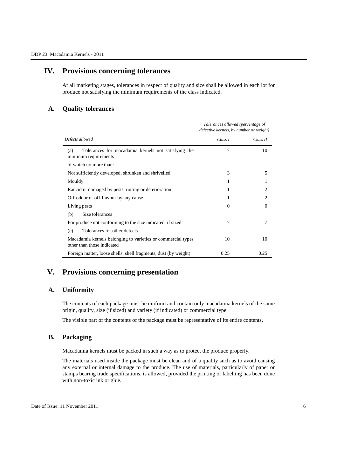## **IV. Provisions concerning tolerances**

At all marketing stages, tolerances in respect of quality and size shall be allowed in each lot for produce not satisfying the minimum requirements of the class indicated.

### **A. Quality tolerances**

|                                                                                            |          | Tolerances allowed (percentage of<br>defective kernels, by number or weight) |  |
|--------------------------------------------------------------------------------------------|----------|------------------------------------------------------------------------------|--|
| Defects allowed                                                                            | Class I  | Class II                                                                     |  |
| Tolerances for macadamia kernels not satisfying the<br>(a)<br>minimum requirements         | 7        | 10                                                                           |  |
| of which no more than:                                                                     |          |                                                                              |  |
| Not sufficiently developed, shrunken and shrivelled                                        | 3        | 5                                                                            |  |
| Mouldy                                                                                     | 1        | 1                                                                            |  |
| Rancid or damaged by pests, rotting or deterioration                                       | 1        | 2                                                                            |  |
| Off-odour or off-flavour by any cause                                                      | 1        | 2                                                                            |  |
| Living pests                                                                               | $\Omega$ | $\Omega$                                                                     |  |
| Size tolerances<br>(b)                                                                     |          |                                                                              |  |
| For produce not conforming to the size indicated, if sized                                 | 7        | 7                                                                            |  |
| Tolerances for other defects<br>(c)                                                        |          |                                                                              |  |
| Macadamia kernels belonging to varieties or commercial types<br>other than those indicated | 10       | 10                                                                           |  |
| Foreign matter, loose shells, shell fragments, dust (by weight)                            | 0.25     | 0.25                                                                         |  |

## **V. Provisions concerning presentation**

### **A. Uniformity**

The contents of each package must be uniform and contain only macadamia kernels of the same origin, quality, size (if sized) and variety (if indicated) or commercial type.

The visible part of the contents of the package must be representative of its entire contents.

#### **B. Packaging**

Macadamia kernels must be packed in such a way as to protect the produce properly.

The materials used inside the package must be clean and of a quality such as to avoid causing any external or internal damage to the produce. The use of materials, particularly of paper or stamps bearing trade specifications, is allowed, provided the printing or labelling has been done with non-toxic ink or glue.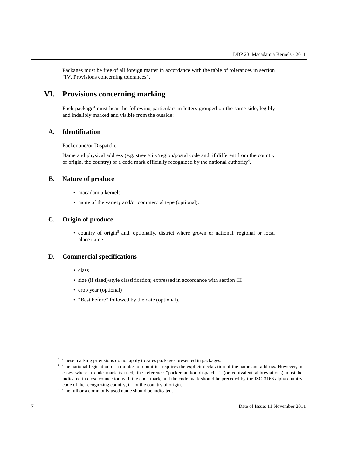Packages must be free of all foreign matter in accordance with the table of tolerances in section "IV. Provisions concerning tolerances".

## **VI. Provisions concerning marking**

Each package<sup>3</sup> must bear the following particulars in letters grouped on the same side, legibly and indelibly marked and visible from the outside:

#### **A. Identification**

Packer and/or Dispatcher:

Name and physical address (e.g. street/city/region/postal code and, if different from the country of origin, the country) or a code mark officially recognized by the national authority<sup>4</sup>.

#### **B. Nature of produce**

- macadamia kernels
- name of the variety and/or commercial type (optional).

## **C. Origin of produce**

• country of origin<sup>5</sup> and, optionally, district where grown or national, regional or local place name.

#### **D. Commercial specifications**

- class
- size (if sized)/style classification; expressed in accordance with section III
- crop year (optional)
- "Best before" followed by the date (optional).

-

<sup>&</sup>lt;sup>3</sup> These marking provisions do not apply to sales packages presented in packages.

<sup>&</sup>lt;sup>4</sup> The national legislation of a number of countries requires the explicit declaration of the name and address. However, in cases where a code mark is used, the reference "packer and/or dispatcher" (or equivalent abbreviations) must be indicated in close connection with the code mark, and the code mark should be preceded by the ISO 3166 alpha country code of the recognizing country, if not the country of origin.

<sup>&</sup>lt;sup>5</sup> The full or a commonly used name should be indicated.